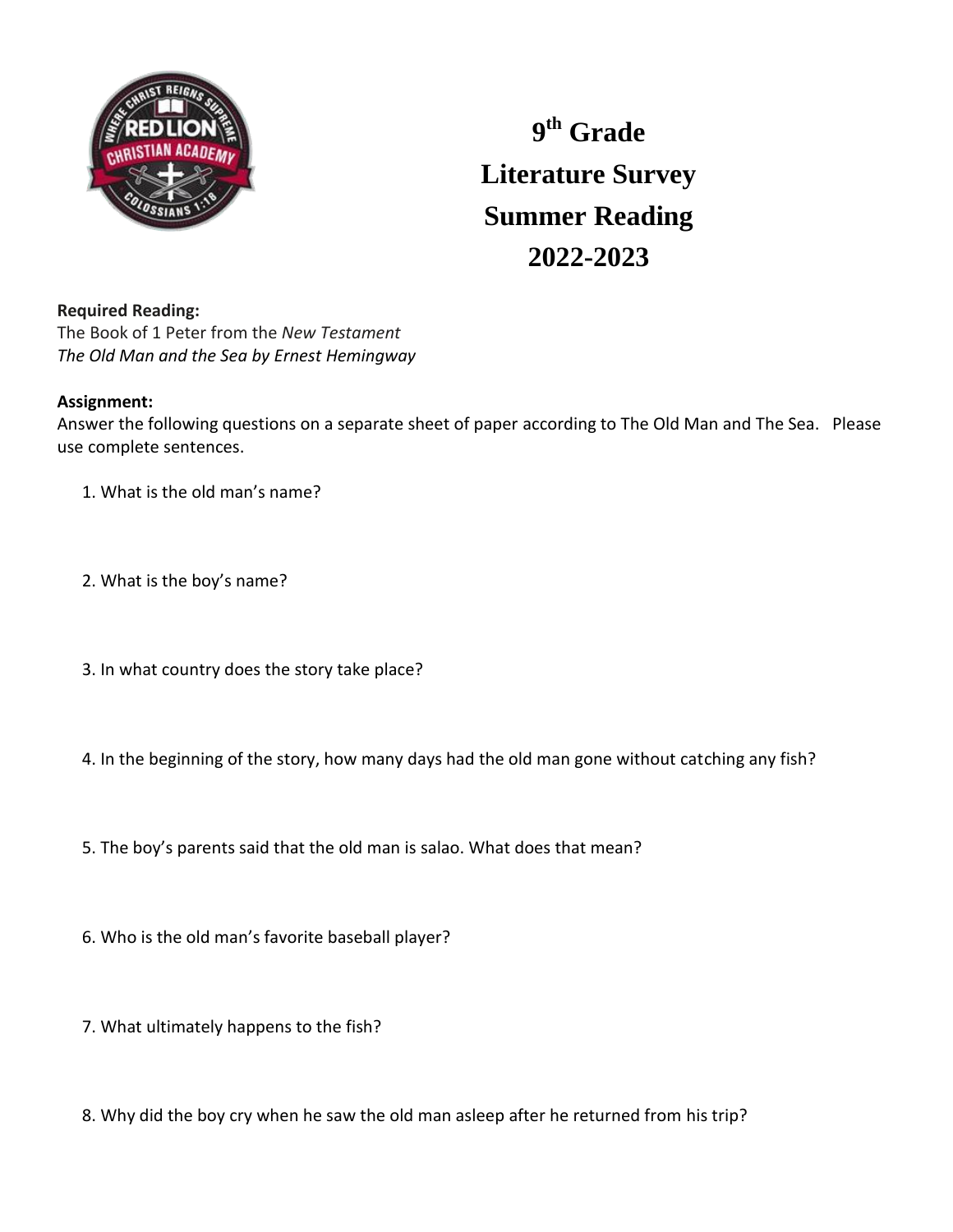

## **9 th Grade Literature Survey Summer Reading 2022-2023**

## **Required Reading:**

The Book of 1 Peter from the *New Testament The Old Man and the Sea by Ernest Hemingway*

## **Assignment:**

Answer the following questions on a separate sheet of paper according to The Old Man and The Sea. Please use complete sentences.

- 1. What is the old man's name?
- 2. What is the boy's name?
- 3. In what country does the story take place?
- 4. In the beginning of the story, how many days had the old man gone without catching any fish?
- 5. The boy's parents said that the old man is salao. What does that mean?
- 6. Who is the old man's favorite baseball player?
- 7. What ultimately happens to the fish?
- 8. Why did the boy cry when he saw the old man asleep after he returned from his trip?